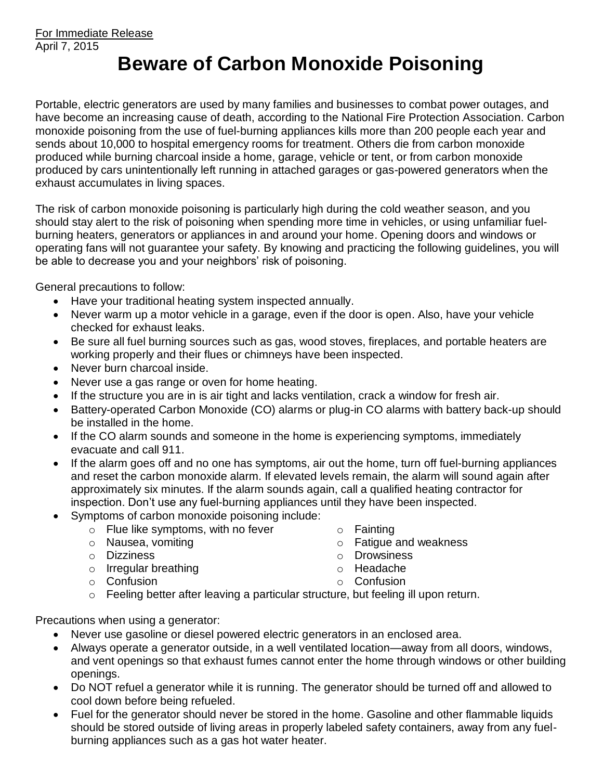## **Beware of Carbon Monoxide Poisoning**

Portable, electric generators are used by many families and businesses to combat power outages, and have become an increasing cause of death, according to the National Fire Protection Association. Carbon monoxide poisoning from the use of fuel-burning appliances kills more than 200 people each year and sends about 10,000 to hospital emergency rooms for treatment. Others die from carbon monoxide produced while burning charcoal inside a home, garage, vehicle or tent, or from carbon monoxide produced by cars unintentionally left running in attached garages or gas-powered generators when the exhaust accumulates in living spaces.

The risk of carbon monoxide poisoning is particularly high during the cold weather season, and you should stay alert to the risk of poisoning when spending more time in vehicles, or using unfamiliar fuelburning heaters, generators or appliances in and around your home. Opening doors and windows or operating fans will not guarantee your safety. By knowing and practicing the following guidelines, you will be able to decrease you and your neighbors' risk of poisoning.

General precautions to follow:

- Have your traditional heating system inspected annually.
- Never warm up a motor vehicle in a garage, even if the door is open. Also, have your vehicle checked for exhaust leaks.
- Be sure all fuel burning sources such as gas, wood stoves, fireplaces, and portable heaters are working properly and their flues or chimneys have been inspected.
- Never burn charcoal inside.
- Never use a gas range or oven for home heating.
- If the structure you are in is air tight and lacks ventilation, crack a window for fresh air.
- Battery-operated Carbon Monoxide (CO) alarms or plug-in CO alarms with battery back-up should be installed in the home.
- If the CO alarm sounds and someone in the home is experiencing symptoms, immediately evacuate and call 911.
- If the alarm goes off and no one has symptoms, air out the home, turn off fuel-burning appliances and reset the carbon monoxide alarm. If elevated levels remain, the alarm will sound again after approximately six minutes. If the alarm sounds again, call a qualified heating contractor for inspection. Don't use any fuel-burning appliances until they have been inspected.
- Symptoms of carbon monoxide poisoning include:
	- o Flue like symptoms, with no fever
	- o Nausea, vomiting
	- o Dizziness
	- o Irregular breathing
	- o Confusion
- o Fainting
- o Fatigue and weakness
- o Drowsiness
- o Headache
- o Confusion
- o Feeling better after leaving a particular structure, but feeling ill upon return.

Precautions when using a generator:

- Never use gasoline or diesel powered electric generators in an enclosed area.
- Always operate a generator outside, in a well ventilated location—away from all doors, windows, and vent openings so that exhaust fumes cannot enter the home through windows or other building openings.
- Do NOT refuel a generator while it is running. The generator should be turned off and allowed to cool down before being refueled.
- Fuel for the generator should never be stored in the home. Gasoline and other flammable liquids should be stored outside of living areas in properly labeled safety containers, away from any fuelburning appliances such as a gas hot water heater.